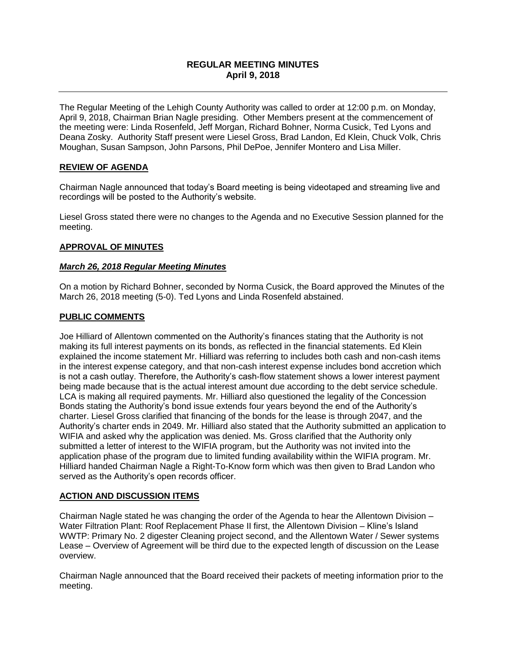# **REGULAR MEETING MINUTES April 9, 2018**

The Regular Meeting of the Lehigh County Authority was called to order at 12:00 p.m. on Monday, April 9, 2018, Chairman Brian Nagle presiding. Other Members present at the commencement of the meeting were: Linda Rosenfeld, Jeff Morgan, Richard Bohner, Norma Cusick, Ted Lyons and Deana Zosky. Authority Staff present were Liesel Gross, Brad Landon, Ed Klein, Chuck Volk, Chris Moughan, Susan Sampson, John Parsons, Phil DePoe, Jennifer Montero and Lisa Miller.

## **REVIEW OF AGENDA**

Chairman Nagle announced that today's Board meeting is being videotaped and streaming live and recordings will be posted to the Authority's website.

Liesel Gross stated there were no changes to the Agenda and no Executive Session planned for the meeting.

#### **APPROVAL OF MINUTES**

#### *March 26, 2018 Regular Meeting Minutes*

On a motion by Richard Bohner, seconded by Norma Cusick, the Board approved the Minutes of the March 26, 2018 meeting (5-0). Ted Lyons and Linda Rosenfeld abstained.

#### **PUBLIC COMMENTS**

Joe Hilliard of Allentown commented on the Authority's finances stating that the Authority is not making its full interest payments on its bonds, as reflected in the financial statements. Ed Klein explained the income statement Mr. Hilliard was referring to includes both cash and non-cash items in the interest expense category, and that non-cash interest expense includes bond accretion which is not a cash outlay. Therefore, the Authority's cash-flow statement shows a lower interest payment being made because that is the actual interest amount due according to the debt service schedule. LCA is making all required payments. Mr. Hilliard also questioned the legality of the Concession Bonds stating the Authority's bond issue extends four years beyond the end of the Authority's charter. Liesel Gross clarified that financing of the bonds for the lease is through 2047, and the Authority's charter ends in 2049. Mr. Hilliard also stated that the Authority submitted an application to WIFIA and asked why the application was denied. Ms. Gross clarified that the Authority only submitted a letter of interest to the WIFIA program, but the Authority was not invited into the application phase of the program due to limited funding availability within the WIFIA program. Mr. Hilliard handed Chairman Nagle a Right-To-Know form which was then given to Brad Landon who served as the Authority's open records officer.

#### **ACTION AND DISCUSSION ITEMS**

Chairman Nagle stated he was changing the order of the Agenda to hear the Allentown Division – Water Filtration Plant: Roof Replacement Phase II first, the Allentown Division – Kline's Island WWTP: Primary No. 2 digester Cleaning project second, and the Allentown Water / Sewer systems Lease – Overview of Agreement will be third due to the expected length of discussion on the Lease overview.

Chairman Nagle announced that the Board received their packets of meeting information prior to the meeting.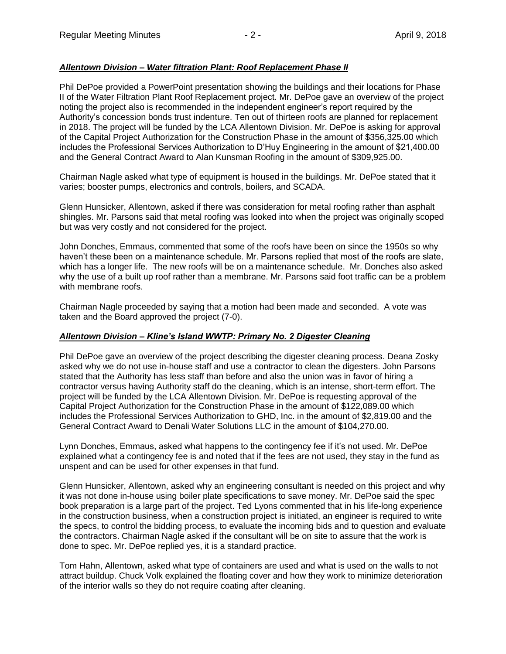## *Allentown Division – Water filtration Plant: Roof Replacement Phase II*

Phil DePoe provided a PowerPoint presentation showing the buildings and their locations for Phase II of the Water Filtration Plant Roof Replacement project. Mr. DePoe gave an overview of the project noting the project also is recommended in the independent engineer's report required by the Authority's concession bonds trust indenture. Ten out of thirteen roofs are planned for replacement in 2018. The project will be funded by the LCA Allentown Division. Mr. DePoe is asking for approval of the Capital Project Authorization for the Construction Phase in the amount of \$356,325.00 which includes the Professional Services Authorization to D'Huy Engineering in the amount of \$21,400.00 and the General Contract Award to Alan Kunsman Roofing in the amount of \$309,925.00.

Chairman Nagle asked what type of equipment is housed in the buildings. Mr. DePoe stated that it varies; booster pumps, electronics and controls, boilers, and SCADA.

Glenn Hunsicker, Allentown, asked if there was consideration for metal roofing rather than asphalt shingles. Mr. Parsons said that metal roofing was looked into when the project was originally scoped but was very costly and not considered for the project.

John Donches, Emmaus, commented that some of the roofs have been on since the 1950s so why haven't these been on a maintenance schedule. Mr. Parsons replied that most of the roofs are slate, which has a longer life. The new roofs will be on a maintenance schedule. Mr. Donches also asked why the use of a built up roof rather than a membrane. Mr. Parsons said foot traffic can be a problem with membrane roofs.

Chairman Nagle proceeded by saying that a motion had been made and seconded. A vote was taken and the Board approved the project (7-0).

#### *Allentown Division – Kline's Island WWTP: Primary No. 2 Digester Cleaning*

Phil DePoe gave an overview of the project describing the digester cleaning process. Deana Zosky asked why we do not use in-house staff and use a contractor to clean the digesters. John Parsons stated that the Authority has less staff than before and also the union was in favor of hiring a contractor versus having Authority staff do the cleaning, which is an intense, short-term effort. The project will be funded by the LCA Allentown Division. Mr. DePoe is requesting approval of the Capital Project Authorization for the Construction Phase in the amount of \$122,089.00 which includes the Professional Services Authorization to GHD, Inc. in the amount of \$2,819.00 and the General Contract Award to Denali Water Solutions LLC in the amount of \$104,270.00.

Lynn Donches, Emmaus, asked what happens to the contingency fee if it's not used. Mr. DePoe explained what a contingency fee is and noted that if the fees are not used, they stay in the fund as unspent and can be used for other expenses in that fund.

Glenn Hunsicker, Allentown, asked why an engineering consultant is needed on this project and why it was not done in-house using boiler plate specifications to save money. Mr. DePoe said the spec book preparation is a large part of the project. Ted Lyons commented that in his life-long experience in the construction business, when a construction project is initiated, an engineer is required to write the specs, to control the bidding process, to evaluate the incoming bids and to question and evaluate the contractors. Chairman Nagle asked if the consultant will be on site to assure that the work is done to spec. Mr. DePoe replied yes, it is a standard practice.

Tom Hahn, Allentown, asked what type of containers are used and what is used on the walls to not attract buildup. Chuck Volk explained the floating cover and how they work to minimize deterioration of the interior walls so they do not require coating after cleaning.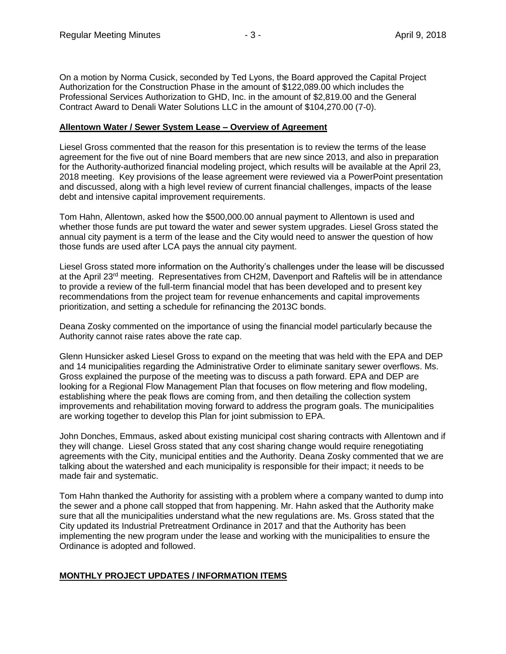On a motion by Norma Cusick, seconded by Ted Lyons, the Board approved the Capital Project Authorization for the Construction Phase in the amount of \$122,089.00 which includes the Professional Services Authorization to GHD, Inc. in the amount of \$2,819.00 and the General Contract Award to Denali Water Solutions LLC in the amount of \$104,270.00 (7-0).

#### **Allentown Water / Sewer System Lease – Overview of Agreement**

Liesel Gross commented that the reason for this presentation is to review the terms of the lease agreement for the five out of nine Board members that are new since 2013, and also in preparation for the Authority-authorized financial modeling project, which results will be available at the April 23, 2018 meeting. Key provisions of the lease agreement were reviewed via a PowerPoint presentation and discussed, along with a high level review of current financial challenges, impacts of the lease debt and intensive capital improvement requirements.

Tom Hahn, Allentown, asked how the \$500,000.00 annual payment to Allentown is used and whether those funds are put toward the water and sewer system upgrades. Liesel Gross stated the annual city payment is a term of the lease and the City would need to answer the question of how those funds are used after LCA pays the annual city payment.

Liesel Gross stated more information on the Authority's challenges under the lease will be discussed at the April 23<sup>rd</sup> meeting. Representatives from CH2M, Davenport and Raftelis will be in attendance to provide a review of the full-term financial model that has been developed and to present key recommendations from the project team for revenue enhancements and capital improvements prioritization, and setting a schedule for refinancing the 2013C bonds.

Deana Zosky commented on the importance of using the financial model particularly because the Authority cannot raise rates above the rate cap.

Glenn Hunsicker asked Liesel Gross to expand on the meeting that was held with the EPA and DEP and 14 municipalities regarding the Administrative Order to eliminate sanitary sewer overflows. Ms. Gross explained the purpose of the meeting was to discuss a path forward. EPA and DEP are looking for a Regional Flow Management Plan that focuses on flow metering and flow modeling, establishing where the peak flows are coming from, and then detailing the collection system improvements and rehabilitation moving forward to address the program goals. The municipalities are working together to develop this Plan for joint submission to EPA.

John Donches, Emmaus, asked about existing municipal cost sharing contracts with Allentown and if they will change. Liesel Gross stated that any cost sharing change would require renegotiating agreements with the City, municipal entities and the Authority. Deana Zosky commented that we are talking about the watershed and each municipality is responsible for their impact; it needs to be made fair and systematic.

Tom Hahn thanked the Authority for assisting with a problem where a company wanted to dump into the sewer and a phone call stopped that from happening. Mr. Hahn asked that the Authority make sure that all the municipalities understand what the new regulations are. Ms. Gross stated that the City updated its Industrial Pretreatment Ordinance in 2017 and that the Authority has been implementing the new program under the lease and working with the municipalities to ensure the Ordinance is adopted and followed.

# **MONTHLY PROJECT UPDATES / INFORMATION ITEMS**